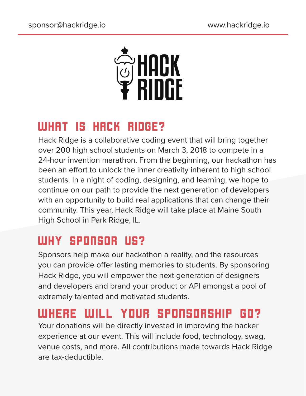

## WHAT IS HACK RIDGE?

Hack Ridge is a collaborative coding event that will bring together over 200 high school students on March 3, 2018 to compete in a 24-hour invention marathon. From the beginning, our hackathon has been an effort to unlock the inner creativity inherent to high school students. In a night of coding, designing, and learning, we hope to continue on our path to provide the next generation of developers with an opportunity to build real applications that can change their community. This year, Hack Ridge will take place at Maine South High School in Park Ridge, IL.

## Why sponsor us?

Sponsors help make our hackathon a reality, and the resources you can provide offer lasting memories to students. By sponsoring Hack Ridge, you will empower the next generation of designers and developers and brand your product or API amongst a pool of extremely talented and motivated students.

## Where will your sponsorship go?

Your donations will be directly invested in improving the hacker experience at our event. This will include food, technology, swag, venue costs, and more. All contributions made towards Hack Ridge are tax-deductible.